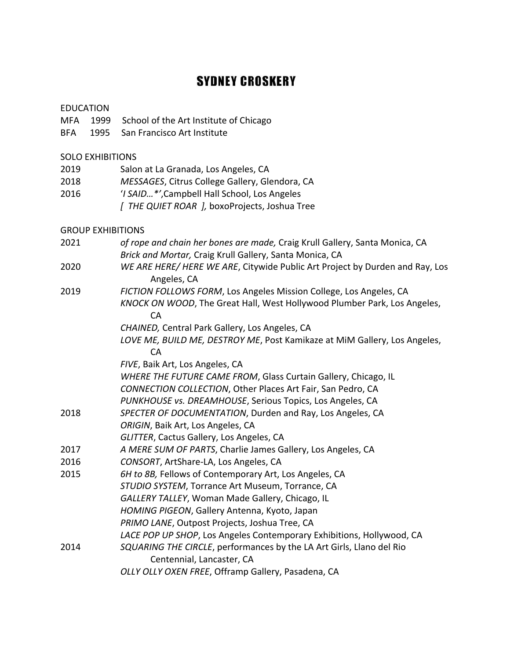## **SYDNEY CROSKERY**

|      | <b>EDUCATION</b>         |                                                                                             |
|------|--------------------------|---------------------------------------------------------------------------------------------|
| MFA  | 1999                     | School of the Art Institute of Chicago                                                      |
| BFA  | 1995                     | San Francisco Art Institute                                                                 |
|      | <b>SOLO EXHIBITIONS</b>  |                                                                                             |
| 2019 |                          | Salon at La Granada, Los Angeles, CA                                                        |
| 2018 |                          | MESSAGES, Citrus College Gallery, Glendora, CA                                              |
| 2016 |                          | 'I SAID*', Campbell Hall School, Los Angeles                                                |
|      |                          | [ THE QUIET ROAR ], boxoProjects, Joshua Tree                                               |
|      | <b>GROUP EXHIBITIONS</b> |                                                                                             |
| 2021 |                          | of rope and chain her bones are made, Craig Krull Gallery, Santa Monica, CA                 |
|      |                          | Brick and Mortar, Craig Krull Gallery, Santa Monica, CA                                     |
| 2020 |                          | WE ARE HERE/ HERE WE ARE, Citywide Public Art Project by Durden and Ray, Los<br>Angeles, CA |
| 2019 |                          | FICTION FOLLOWS FORM, Los Angeles Mission College, Los Angeles, CA                          |
|      |                          | KNOCK ON WOOD, The Great Hall, West Hollywood Plumber Park, Los Angeles,<br><b>CA</b>       |
|      |                          | CHAINED, Central Park Gallery, Los Angeles, CA                                              |
|      |                          | LOVE ME, BUILD ME, DESTROY ME, Post Kamikaze at MiM Gallery, Los Angeles,<br>CA             |
|      |                          | FIVE, Baik Art, Los Angeles, CA                                                             |
|      |                          | WHERE THE FUTURE CAME FROM, Glass Curtain Gallery, Chicago, IL                              |
|      |                          | CONNECTION COLLECTION, Other Places Art Fair, San Pedro, CA                                 |
|      |                          | PUNKHOUSE vs. DREAMHOUSE, Serious Topics, Los Angeles, CA                                   |
| 2018 |                          | SPECTER OF DOCUMENTATION, Durden and Ray, Los Angeles, CA                                   |
|      |                          | ORIGIN, Baik Art, Los Angeles, CA                                                           |
|      |                          | GLITTER, Cactus Gallery, Los Angeles, CA                                                    |
| 2017 |                          | A MERE SUM OF PARTS, Charlie James Gallery, Los Angeles, CA                                 |
| 2016 |                          | CONSORT, ArtShare-LA, Los Angeles, CA                                                       |
| 2015 |                          | 6H to 8B, Fellows of Contemporary Art, Los Angeles, CA                                      |
|      |                          | STUDIO SYSTEM, Torrance Art Museum, Torrance, CA                                            |
|      |                          | GALLERY TALLEY, Woman Made Gallery, Chicago, IL                                             |
|      |                          | HOMING PIGEON, Gallery Antenna, Kyoto, Japan                                                |
|      |                          | PRIMO LANE, Outpost Projects, Joshua Tree, CA                                               |
|      |                          | LACE POP UP SHOP, Los Angeles Contemporary Exhibitions, Hollywood, CA                       |
| 2014 |                          | SQUARING THE CIRCLE, performances by the LA Art Girls, Llano del Rio                        |
|      |                          | Centennial, Lancaster, CA                                                                   |
|      |                          | OLLY OLLY OXEN FREE, Offramp Gallery, Pasadena, CA                                          |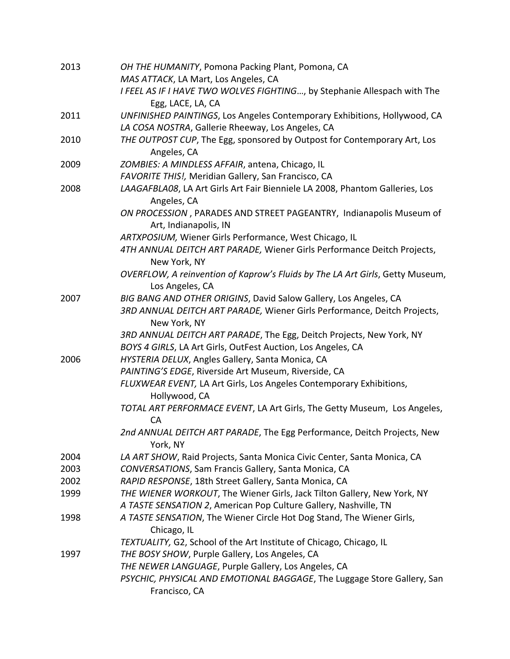| 2013 | OH THE HUMANITY, Pomona Packing Plant, Pomona, CA<br>MAS ATTACK, LA Mart, Los Angeles, CA        |
|------|--------------------------------------------------------------------------------------------------|
|      | I FEEL AS IF I HAVE TWO WOLVES FIGHTING, by Stephanie Allespach with The                         |
| 2011 | Egg, LACE, LA, CA<br>UNFINISHED PAINTINGS, Los Angeles Contemporary Exhibitions, Hollywood, CA   |
|      | LA COSA NOSTRA, Gallerie Rheeway, Los Angeles, CA                                                |
| 2010 | THE OUTPOST CUP, The Egg, sponsored by Outpost for Contemporary Art, Los<br>Angeles, CA          |
| 2009 | ZOMBIES: A MINDLESS AFFAIR, antena, Chicago, IL                                                  |
|      | FAVORITE THIS!, Meridian Gallery, San Francisco, CA                                              |
| 2008 | LAAGAFBLA08, LA Art Girls Art Fair Bienniele LA 2008, Phantom Galleries, Los<br>Angeles, CA      |
|      | ON PROCESSION, PARADES AND STREET PAGEANTRY, Indianapolis Museum of<br>Art, Indianapolis, IN     |
|      | ARTXPOSIUM, Wiener Girls Performance, West Chicago, IL                                           |
|      | 4TH ANNUAL DEITCH ART PARADE, Wiener Girls Performance Deitch Projects,<br>New York, NY          |
|      | OVERFLOW, A reinvention of Kaprow's Fluids by The LA Art Girls, Getty Museum,<br>Los Angeles, CA |
| 2007 | BIG BANG AND OTHER ORIGINS, David Salow Gallery, Los Angeles, CA                                 |
|      | 3RD ANNUAL DEITCH ART PARADE, Wiener Girls Performance, Deitch Projects,<br>New York, NY         |
|      | 3RD ANNUAL DEITCH ART PARADE, The Egg, Deitch Projects, New York, NY                             |
|      | BOYS 4 GIRLS, LA Art Girls, OutFest Auction, Los Angeles, CA                                     |
| 2006 | HYSTERIA DELUX, Angles Gallery, Santa Monica, CA                                                 |
|      | PAINTING'S EDGE, Riverside Art Museum, Riverside, CA                                             |
|      | FLUXWEAR EVENT, LA Art Girls, Los Angeles Contemporary Exhibitions,<br>Hollywood, CA             |
|      | TOTAL ART PERFORMACE EVENT, LA Art Girls, The Getty Museum, Los Angeles,<br><b>CA</b>            |
|      | 2nd ANNUAL DEITCH ART PARADE, The Egg Performance, Deitch Projects, New<br>York, NY              |
| 2004 | LA ART SHOW, Raid Projects, Santa Monica Civic Center, Santa Monica, CA                          |
| 2003 | CONVERSATIONS, Sam Francis Gallery, Santa Monica, CA                                             |
| 2002 | RAPID RESPONSE, 18th Street Gallery, Santa Monica, CA                                            |
| 1999 | THE WIENER WORKOUT, The Wiener Girls, Jack Tilton Gallery, New York, NY                          |
|      | A TASTE SENSATION 2, American Pop Culture Gallery, Nashville, TN                                 |
| 1998 | A TASTE SENSATION, The Wiener Circle Hot Dog Stand, The Wiener Girls,<br>Chicago, IL             |
|      | TEXTUALITY, G2, School of the Art Institute of Chicago, Chicago, IL                              |
| 1997 | THE BOSY SHOW, Purple Gallery, Los Angeles, CA                                                   |
|      | THE NEWER LANGUAGE, Purple Gallery, Los Angeles, CA                                              |
|      | PSYCHIC, PHYSICAL AND EMOTIONAL BAGGAGE, The Luggage Store Gallery, San<br>Francisco, CA         |